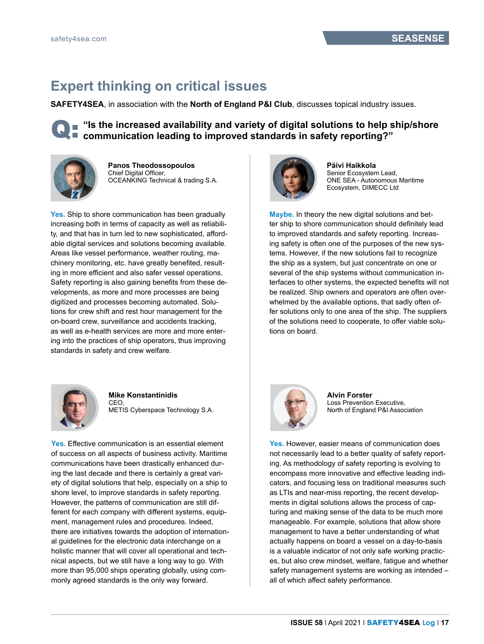## **Expert thinking on critical issues**

**SAFETY4SEA**, in association with the **North of England P&I Club**, discusses topical industry issues.

■ "Is the increased availability and variety of digital solutions to help ship/shore ■ communication leading to improved standards in safety reporting?"



**Panos Theodossopoulos** Chief Digital Officer, OCEANKING Technical & trading S.A.

**Yes.** Ship to shore communication has been gradually increasing both in terms of capacity as well as reliability, and that has in turn led to new sophisticated, affordable digital services and solutions becoming available. Areas like vessel performance, weather routing, machinery monitoring, etc. have greatly benefited, resulting in more efficient and also safer vessel operations. Safety reporting is also gaining benefits from these developments, as more and more processes are being digitized and processes becoming automated. Solutions for crew shift and rest hour management for the on-board crew, surveillance and accidents tracking, as well as e-health services are more and more entering into the practices of ship operators, thus improving standards in safety and crew welfare.



## **Mike Konstantinidis** CEO,

METIS Cyberspace Technology S.A.

**Yes.** Effective communication is an essential element of success on all aspects of business activity. Maritime communications have been drastically enhanced during the last decade and there is certainly a great variety of digital solutions that help, especially on a ship to shore level, to improve standards in safety reporting. However, the patterns of communication are still different for each company with different systems, equipment, management rules and procedures. Indeed, there are initiatives towards the adoption of international guidelines for the electronic data interchange on a holistic manner that will cover all operational and technical aspects, but we still have a long way to go. With more than 95,000 ships operating globally, using commonly agreed standards is the only way forward.



**Päivi Haikkola** Senior Ecosystem Lead, ONE SEA - Autonomous Maritime Ecosystem, DIMECC Ltd

**Maybe.** In theory the new digital solutions and better ship to shore communication should definitely lead to improved standards and safety reporting. Increasing safety is often one of the purposes of the new systems. However, if the new solutions fail to recognize the ship as a system, but just concentrate on one or several of the ship systems without communication interfaces to other systems, the expected benefits will not be realized. Ship owners and operators are often overwhelmed by the available options, that sadly often offer solutions only to one area of the ship. The suppliers of the solutions need to cooperate, to offer viable solutions on board.



**Alvin Forster** Loss Prevention Executive, North of England P&I Association

**Yes.** However, easier means of communication does not necessarily lead to a better quality of safety reporting. As methodology of safety reporting is evolving to encompass more innovative and effective leading indicators, and focusing less on traditional measures such as LTIs and near-miss reporting, the recent developments in digital solutions allows the process of capturing and making sense of the data to be much more manageable. For example, solutions that allow shore management to have a better understanding of what actually happens on board a vessel on a day-to-basis is a valuable indicator of not only safe working practices, but also crew mindset, welfare, fatigue and whether safety management systems are working as intended – all of which affect safety performance.